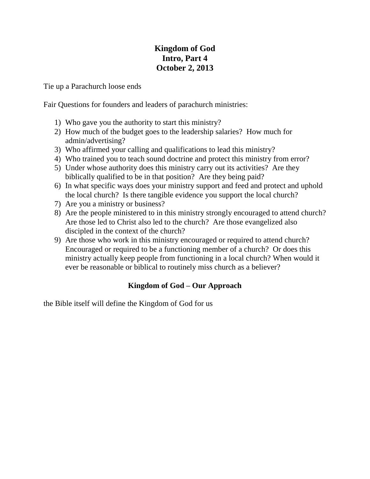## **Kingdom of God Intro, Part 4 October 2, 2013**

Tie up a Parachurch loose ends

Fair Questions for founders and leaders of parachurch ministries:

- 1) Who gave you the authority to start this ministry?
- 2) How much of the budget goes to the leadership salaries? How much for admin/advertising?
- 3) Who affirmed your calling and qualifications to lead this ministry?
- 4) Who trained you to teach sound doctrine and protect this ministry from error?
- 5) Under whose authority does this ministry carry out its activities? Are they biblically qualified to be in that position? Are they being paid?
- 6) In what specific ways does your ministry support and feed and protect and uphold the local church? Is there tangible evidence you support the local church?
- 7) Are you a ministry or business?
- 8) Are the people ministered to in this ministry strongly encouraged to attend church? Are those led to Christ also led to the church? Are those evangelized also discipled in the context of the church?
- 9) Are those who work in this ministry encouraged or required to attend church? Encouraged or required to be a functioning member of a church? Or does this ministry actually keep people from functioning in a local church? When would it ever be reasonable or biblical to routinely miss church as a believer?

### **Kingdom of God – Our Approach**

the Bible itself will define the Kingdom of God for us